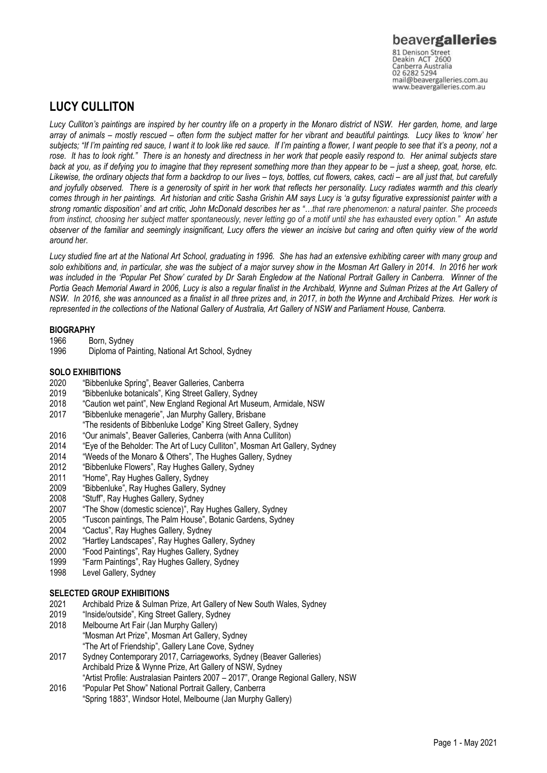## **LUCY CULLITON**

*Lucy Culliton's paintings are inspired by her country life on a property in the Monaro district of NSW. Her garden, home, and large array of animals – mostly rescued – often form the subject matter for her vibrant and beautiful paintings. Lucy likes to 'know' her subjects; "If I'm painting red sauce, I want it to look like red sauce. If I'm painting a flower, I want people to see that it's a peony, not a rose. It has to look right." There is an honesty and directness in her work that people easily respond to. Her animal subjects stare back at you, as if defying you to imagine that they represent something more than they appear to be – just a sheep, goat, horse, etc.* Likewise, the ordinary objects that form a backdrop to our lives – toys, bottles, cut flowers, cakes, cacti – are all just that, but carefully *and joyfully observed. There is a generosity of spirit in her work that reflects her personality. Lucy radiates warmth and this clearly comes through in her paintings. Art historian and critic Sasha Grishin AM says Lucy is 'a gutsy figurative expressionist painter with a strong romantic disposition' and art critic, John McDonald describes her as "…that rare phenomenon: a natural painter. She proceeds from instinct, choosing her subject matter spontaneously, never letting go of a motif until she has exhausted every option." An astute observer of the familiar and seemingly insignificant, Lucy offers the viewer an incisive but caring and often quirky view of the world around her.*

*Lucy studied fine art at the National Art School, graduating in 1996. She has had an extensive exhibiting career with many group and solo exhibitions and, in particular, she was the subject of a major survey show in the Mosman Art Gallery in 2014. In 2016 her work was included in the 'Popular Pet Show' curated by Dr Sarah Engledow at the National Portrait Gallery in Canberra. Winner of the Portia Geach Memorial Award in 2006, Lucy is also a regular finalist in the Archibald, Wynne and Sulman Prizes at the Art Gallery of NSW. In 2016, she was announced as a finalist in all three prizes and, in 2017, in both the Wynne and Archibald Prizes. Her work is represented in the collections of the National Gallery of Australia, Art Gallery of NSW and Parliament House, Canberra.*

### **BIOGRAPHY**

- 1966 Born, Sydney
- 1996 Diploma of Painting, National Art School, Sydney

### **SOLO EXHIBITIONS**

- 2020 "Bibbenluke Spring", Beaver Galleries, Canberra
- 2019 "Bibbenluke botanicals", King Street Gallery, Sydney
- 2018 "Caution wet paint", New England Regional Art Museum, Armidale, NSW
- 2017 "Bibbenluke menagerie", Jan Murphy Gallery, Brisbane
- "The residents of Bibbenluke Lodge" King Street Gallery, Sydney
- 
- 2016 "Our animals", Beaver Galleries, Canberra (with Anna Culliton) 2014 "Eye of the Beholder: The Art of Lucy Culliton", Mosman Art Gallery, Sydney<br>2014 "Weeds of the Monaro & Others". The Hughes Gallery. Sydney
- 
- 2014 "Weeds of the Monaro & Others", The Hughes Gallery, Sydney<br>2012 "Bibbenluke Flowers", Ray Hughes Gallery, Sydney 2012 "Bibbenluke Flowers", Ray Hughes Gallery, Sydney
- 
- 2011 "Home", Ray Hughes Gallery, Sydney<br>2009 "Bibbenluke". Ray Hughes Gallery. Sv 2009 "Bibbenluke", Ray Hughes Gallery, Sydney
- 2008 "Stuff", Ray Hughes Gallery, Sydney<br>2007 "The Show (domestic science)". Rav
- 2007 "The Show (domestic science)", Ray Hughes Gallery, Sydney
- "Tuscon paintings, The Palm House", Botanic Gardens, Sydney
- 2004 "Cactus", Ray Hughes Gallery, Sydney
- 2002 "Hartley Landscapes", Ray Hughes Gallery, Sydney
- 2000 "Food Paintings", Ray Hughes Gallery, Sydney
- 1999 "Farm Paintings", Ray Hughes Gallery, Sydney
- 1998 Level Gallery, Sydney

### **SELECTED GROUP EXHIBITIONS**

- 2021 Archibald Prize & Sulman Prize, Art Gallery of New South Wales, Sydney
- 2019 "Inside/outside", King Street Gallery, Sydney
- 2018 Melbourne Art Fair (Jan Murphy Gallery) "Mosman Art Prize", Mosman Art Gallery, Sydney "The Art of Friendship", Gallery Lane Cove, Sydney
- 2017 Sydney Contemporary 2017, Carriageworks, Sydney (Beaver Galleries) Archibald Prize & Wynne Prize, Art Gallery of NSW, Sydney "Artist Profile: Australasian Painters 2007 – 2017", Orange Regional Gallery, NSW
- 2016 "Popular Pet Show" National Portrait Gallery, Canberra "Spring 1883", Windsor Hotel, Melbourne (Jan Murphy Gallery)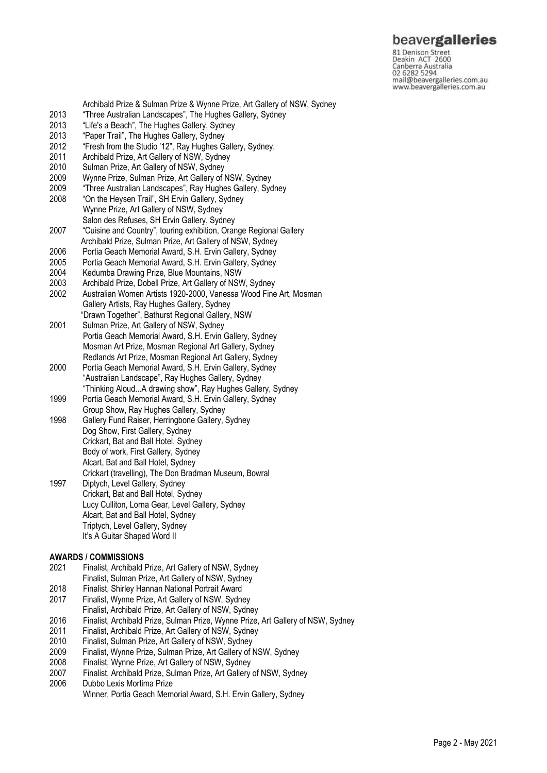# beavergalleries

81 Denison Street<br>Deakin ACT 2600 Canberra Australia mail@beavergalleries.com.au www.beavergalleries.com.au

2013 "Life's a Beach", The Hughes Gallery, Sydney<br>2013 "Paper Trail", The Hughes Gallery, Sydney 2013 "Paper Trail", The Hughes Gallery, Sydney<br>2012 "Fresh from the Studio '12", Ray Hughes G "Fresh from the Studio '12", Ray Hughes Gallery, Sydney. 2011 Archibald Prize, Art Gallery of NSW, Sydney 2010 Sulman Prize, Art Gallery of NSW, Sydney<br>2009 Wynne Prize, Sulman Prize, Art Gallery of I 2009 Wynne Prize, Sulman Prize, Art Gallery of NSW, Sydney "Three Australian Landscapes", Ray Hughes Gallery, Sydney 2008 "On the Heysen Trail", SH Ervin Gallery, Sydney Wynne Prize, Art Gallery of NSW, Sydney Salon des Refuses, SH Ervin Gallery, Sydney<br>2007 Cuisine and Country", touring exhibition, Oran "Cuisine and Country", touring exhibition, Orange Regional Gallery Archibald Prize, Sulman Prize, Art Gallery of NSW, Sydney<br>2006 Portia Geach Memorial Award, S.H. Ervin Gallery, Sydney Portia Geach Memorial Award, S.H. Ervin Gallery, Sydney 2005 Portia Geach Memorial Award, S.H. Ervin Gallery, Sydney 2004 Kedumba Drawing Prize, Blue Mountains, NSW 2003 Archibald Prize, Dobell Prize, Art Gallery of NSW, Sydney 2002 Australian Women Artists 1920-2000, Vanessa Wood Fine Art, Mosman Gallery Artists, Ray Hughes Gallery, Sydney "Drawn Together", Bathurst Regional Gallery, NSW Sulman Prize, Art Gallery of NSW, Sydney Portia Geach Memorial Award, S.H. Ervin Gallery, Sydney Mosman Art Prize, Mosman Regional Art Gallery, Sydney Redlands Art Prize, Mosman Regional Art Gallery, Sydney 2000 Portia Geach Memorial Award, S.H. Ervin Gallery, Sydney "Australian Landscape", Ray Hughes Gallery, Sydney "Thinking Aloud...A drawing show", Ray Hughes Gallery, Sydney 1999 Portia Geach Memorial Award, S.H. Ervin Gallery, Sydney Group Show, Ray Hughes Gallery, Sydney 1998 Gallery Fund Raiser, Herringbone Gallery, Sydney Dog Show, First Gallery, Sydney Crickart, Bat and Ball Hotel, Sydney Body of work, First Gallery, Sydney Alcart, Bat and Ball Hotel, Sydney

Archibald Prize & Sulman Prize & Wynne Prize, Art Gallery of NSW, Sydney

2013 "Three Australian Landscapes", The Hughes Gallery, Sydney<br>2013 "Life's a Beach", The Hughes Gallery, Sydney

 Crickart (travelling), The Don Bradman Museum, Bowral 1997 Diptych, Level Gallery, Sydney Crickart, Bat and Ball Hotel, Sydney Lucy Culliton, Lorna Gear, Level Gallery, Sydney Alcart, Bat and Ball Hotel, Sydney Triptych, Level Gallery, Sydney It's A Guitar Shaped Word II

### **AWARDS / COMMISSIONS**

- 2021 Finalist, Archibald Prize, Art Gallery of NSW, Sydney
- Finalist, Sulman Prize, Art Gallery of NSW, Sydney
- 2018 Finalist, Shirley Hannan National Portrait Award
- Finalist, Wynne Prize, Art Gallery of NSW, Sydney
- Finalist, Archibald Prize, Art Gallery of NSW, Sydney
- 2016 Finalist, Archibald Prize, Sulman Prize, Wynne Prize, Art Gallery of NSW, Sydney
- 2011 Finalist, Archibald Prize, Art Gallery of NSW, Sydney
- 2010 Finalist, Sulman Prize, Art Gallery of NSW, Sydney
- 2009 Finalist, Wynne Prize, Sulman Prize, Art Gallery of NSW, Sydney
- 2008 Finalist, Wynne Prize, Art Gallery of NSW, Sydney
- 2007 Finalist, Archibald Prize, Sulman Prize, Art Gallery of NSW, Sydney
- 2006 Dubbo Lexis Mortima Prize Winner, Portia Geach Memorial Award, S.H. Ervin Gallery, Sydney